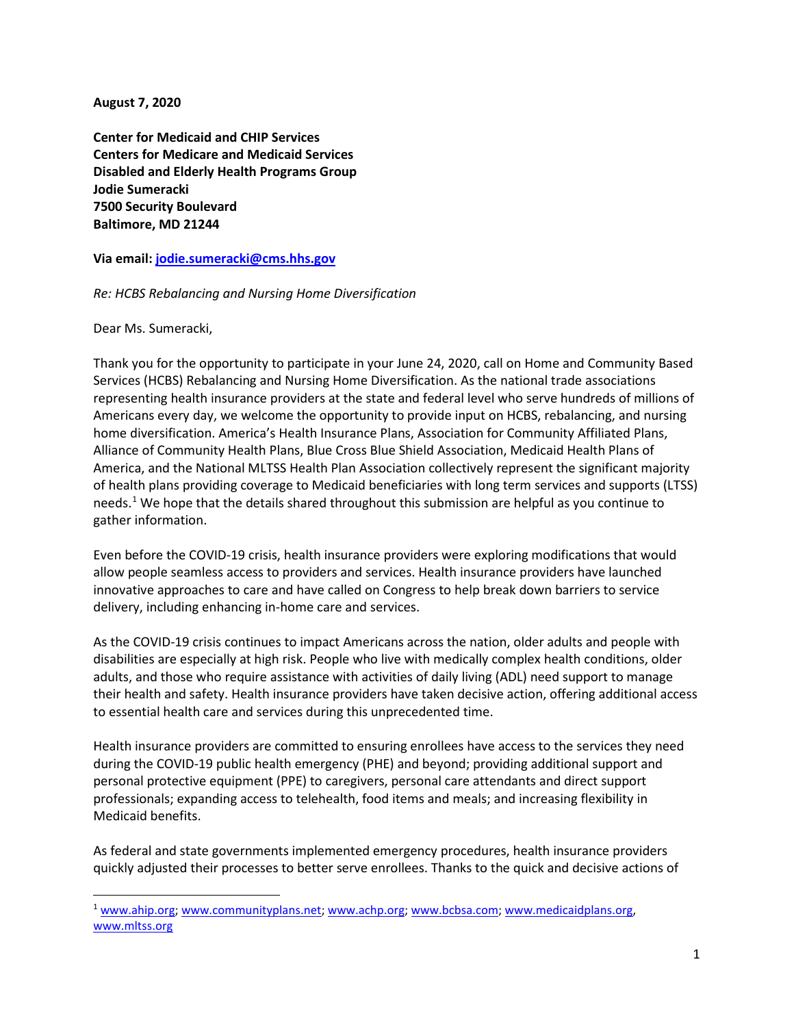**August 7, 2020**

**Center for Medicaid and CHIP Services Centers for Medicare and Medicaid Services Disabled and Elderly Health Programs Group Jodie Sumeracki 7500 Security Boulevard Baltimore, MD 21244**

**Via email: [jodie.sumeracki@cms.hhs.gov](mailto:jodie.sumeracki@cms.hhs.gov)**

## *Re: HCBS Rebalancing and Nursing Home Diversification*

Dear Ms. Sumeracki,

Thank you for the opportunity to participate in your June 24, 2020, call on Home and Community Based Services (HCBS) Rebalancing and Nursing Home Diversification. As the national trade associations representing health insurance providers at the state and federal level who serve hundreds of millions of Americans every day, we welcome the opportunity to provide input on HCBS, rebalancing, and nursing home diversification. America's Health Insurance Plans, Association for Community Affiliated Plans, Alliance of Community Health Plans, Blue Cross Blue Shield Association, Medicaid Health Plans of America, and the National MLTSS Health Plan Association collectively represent the significant majority of health plans providing coverage to Medicaid beneficiaries with long term services and supports (LTSS) needs.<sup>[1](#page-0-0)</sup> We hope that the details shared throughout this submission are helpful as you continue to gather information.

Even before the COVID-19 crisis, health insurance providers were exploring modifications that would allow people seamless access to providers and services. Health insurance providers have launched innovative approaches to care and have called on Congress to help break down barriers to service delivery, including enhancing in-home care and services.

As the COVID-19 crisis continues to impact Americans across the nation, older adults and people with disabilities are especially at high risk. People who live with medically complex health conditions, older adults, and those who require assistance with activities of daily living (ADL) need support to manage their health and safety. Health insurance providers have taken decisive action, offering additional access to essential health care and services during this unprecedented time.

Health insurance providers are committed to ensuring enrollees have access to the services they need during the COVID-19 public health emergency (PHE) and beyond; providing additional support and personal protective equipment (PPE) to caregivers, personal care attendants and direct support professionals; expanding access to telehealth, food items and meals; and increasing flexibility in Medicaid benefits.

As federal and state governments implemented emergency procedures, health insurance providers quickly adjusted their processes to better serve enrollees. Thanks to the quick and decisive actions of

<span id="page-0-0"></span><sup>1</sup> [www.ahip.org;](http://www.ahip.org/) [www.communityplans.net;](http://www.communityplans.net/) [www.achp.org;](http://www.achp.org/) [www.bcbsa.com;](http://www.bcbsa.com/) [www.medicaidplans.org,](http://www.medicaidplans.org/) [www.mltss.org](http://www.mltss.org/)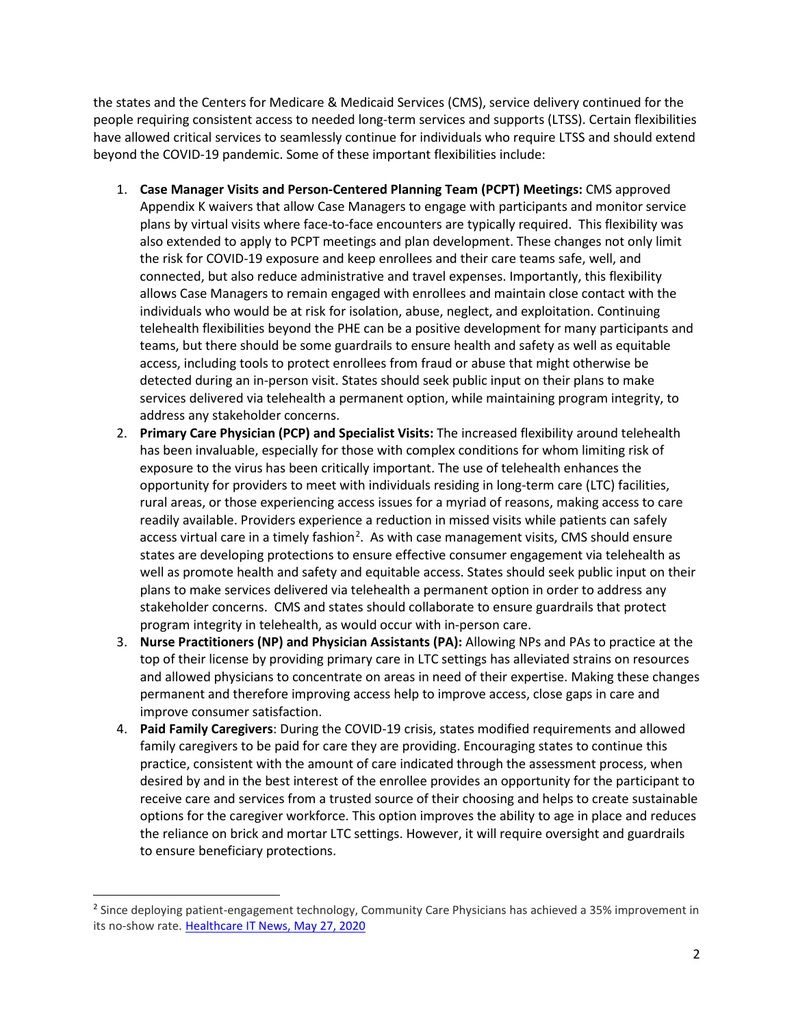the states and the Centers for Medicare & Medicaid Services (CMS), service delivery continued for the people requiring consistent access to needed long-term services and supports (LTSS). Certain flexibilities have allowed critical services to seamlessly continue for individuals who require LTSS and should extend beyond the COVID-19 pandemic. Some of these important flexibilities include:

- 1. **Case Manager Visits and Person-Centered Planning Team (PCPT) Meetings:** CMS approved Appendix K waivers that allow Case Managers to engage with participants and monitor service plans by virtual visits where face-to-face encounters are typically required. This flexibility was also extended to apply to PCPT meetings and plan development. These changes not only limit the risk for COVID-19 exposure and keep enrollees and their care teams safe, well, and connected, but also reduce administrative and travel expenses. Importantly, this flexibility allows Case Managers to remain engaged with enrollees and maintain close contact with the individuals who would be at risk for isolation, abuse, neglect, and exploitation. Continuing telehealth flexibilities beyond the PHE can be a positive development for many participants and teams, but there should be some guardrails to ensure health and safety as well as equitable access, including tools to protect enrollees from fraud or abuse that might otherwise be detected during an in-person visit. States should seek public input on their plans to make services delivered via telehealth a permanent option, while maintaining program integrity, to address any stakeholder concerns.
- 2. **Primary Care Physician (PCP) and Specialist Visits:** The increased flexibility around telehealth has been invaluable, especially for those with complex conditions for whom limiting risk of exposure to the virus has been critically important. The use of telehealth enhances the opportunity for providers to meet with individuals residing in long-term care (LTC) facilities, rural areas, or those experiencing access issues for a myriad of reasons, making access to care readily available. Providers experience a reduction in missed visits while patients can safely access virtual care in a timely fashion<sup>[2](#page-1-0)</sup>. As with case management visits, CMS should ensure states are developing protections to ensure effective consumer engagement via telehealth as well as promote health and safety and equitable access. States should seek public input on their plans to make services delivered via telehealth a permanent option in order to address any stakeholder concerns. CMS and states should collaborate to ensure guardrails that protect program integrity in telehealth, as would occur with in-person care.
- 3. **Nurse Practitioners (NP) and Physician Assistants (PA):** Allowing NPs and PAs to practice at the top of their license by providing primary care in LTC settings has alleviated strains on resources and allowed physicians to concentrate on areas in need of their expertise. Making these changes permanent and therefore improving access help to improve access, close gaps in care and improve consumer satisfaction.
- 4. **Paid Family Caregivers**: During the COVID-19 crisis, states modified requirements and allowed family caregivers to be paid for care they are providing. Encouraging states to continue this practice, consistent with the amount of care indicated through the assessment process, when desired by and in the best interest of the enrollee provides an opportunity for the participant to receive care and services from a trusted source of their choosing and helps to create sustainable options for the caregiver workforce. This option improves the ability to age in place and reduces the reliance on brick and mortar LTC settings. However, it will require oversight and guardrails to ensure beneficiary protections.

<span id="page-1-0"></span><sup>&</sup>lt;sup>2</sup> Since deploying patient-engagement technology, Community Care Physicians has achieved a 35% improvement in its no-show rate. [Healthcare IT News, May 27, 2020](https://www.healthcareitnews.com/news/patient-engagement-tech-improves-physician-org-s-no-show-rate-35)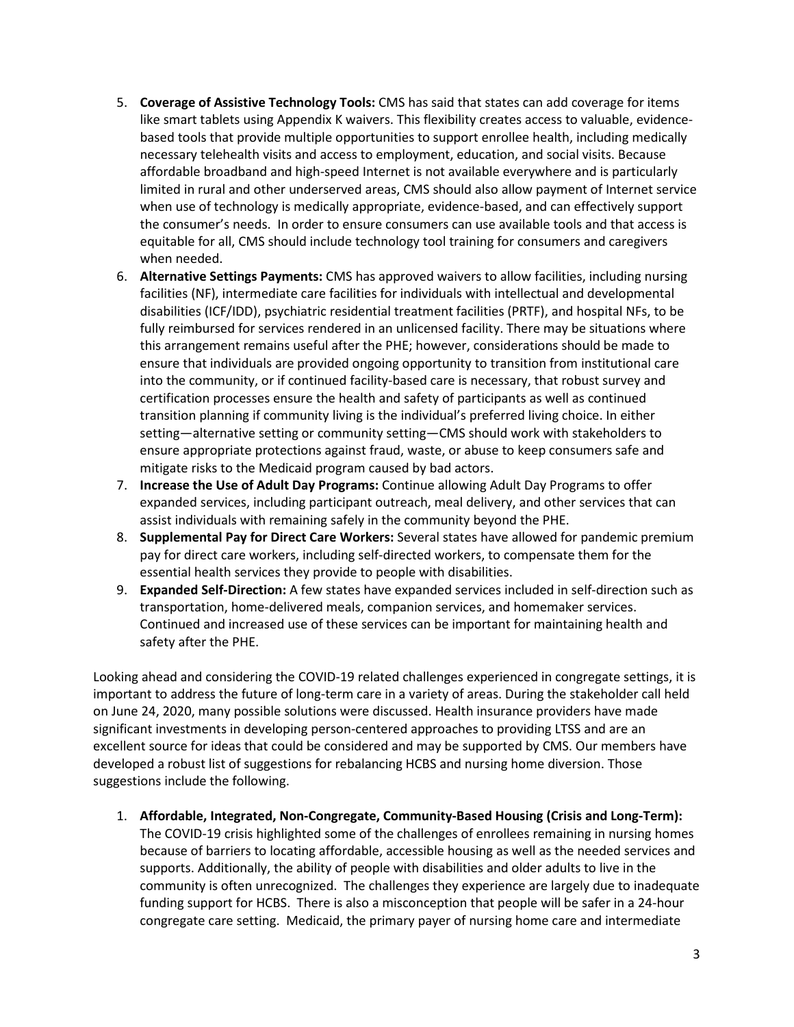- 5. **Coverage of Assistive Technology Tools:** CMS has said that states can add coverage for items like smart tablets using Appendix K waivers. This flexibility creates access to valuable, evidencebased tools that provide multiple opportunities to support enrollee health, including medically necessary telehealth visits and access to employment, education, and social visits. Because affordable broadband and high-speed Internet is not available everywhere and is particularly limited in rural and other underserved areas, CMS should also allow payment of Internet service when use of technology is medically appropriate, evidence-based, and can effectively support the consumer's needs. In order to ensure consumers can use available tools and that access is equitable for all, CMS should include technology tool training for consumers and caregivers when needed.
- 6. **Alternative Settings Payments:** CMS has approved waivers to allow facilities, including nursing facilities (NF), intermediate care facilities for individuals with intellectual and developmental disabilities (ICF/IDD), psychiatric residential treatment facilities (PRTF), and hospital NFs, to be fully reimbursed for services rendered in an unlicensed facility. There may be situations where this arrangement remains useful after the PHE; however, considerations should be made to ensure that individuals are provided ongoing opportunity to transition from institutional care into the community, or if continued facility-based care is necessary, that robust survey and certification processes ensure the health and safety of participants as well as continued transition planning if community living is the individual's preferred living choice. In either setting—alternative setting or community setting—CMS should work with stakeholders to ensure appropriate protections against fraud, waste, or abuse to keep consumers safe and mitigate risks to the Medicaid program caused by bad actors.
- 7. **Increase the Use of Adult Day Programs:** Continue allowing Adult Day Programs to offer expanded services, including participant outreach, meal delivery, and other services that can assist individuals with remaining safely in the community beyond the PHE.
- 8. **Supplemental Pay for Direct Care Workers:** Several states have allowed for pandemic premium pay for direct care workers, including self-directed workers, to compensate them for the essential health services they provide to people with disabilities.
- 9. **Expanded Self-Direction:** A few states have expanded services included in self-direction such as transportation, home-delivered meals, companion services, and homemaker services. Continued and increased use of these services can be important for maintaining health and safety after the PHE.

Looking ahead and considering the COVID-19 related challenges experienced in congregate settings, it is important to address the future of long-term care in a variety of areas. During the stakeholder call held on June 24, 2020, many possible solutions were discussed. Health insurance providers have made significant investments in developing person-centered approaches to providing LTSS and are an excellent source for ideas that could be considered and may be supported by CMS. Our members have developed a robust list of suggestions for rebalancing HCBS and nursing home diversion. Those suggestions include the following.

1. **Affordable, Integrated, Non-Congregate, Community-Based Housing (Crisis and Long-Term):** The COVID-19 crisis highlighted some of the challenges of enrollees remaining in nursing homes because of barriers to locating affordable, accessible housing as well as the needed services and supports. Additionally, the ability of people with disabilities and older adults to live in the community is often unrecognized. The challenges they experience are largely due to inadequate funding support for HCBS. There is also a misconception that people will be safer in a 24-hour congregate care setting. Medicaid, the primary payer of nursing home care and intermediate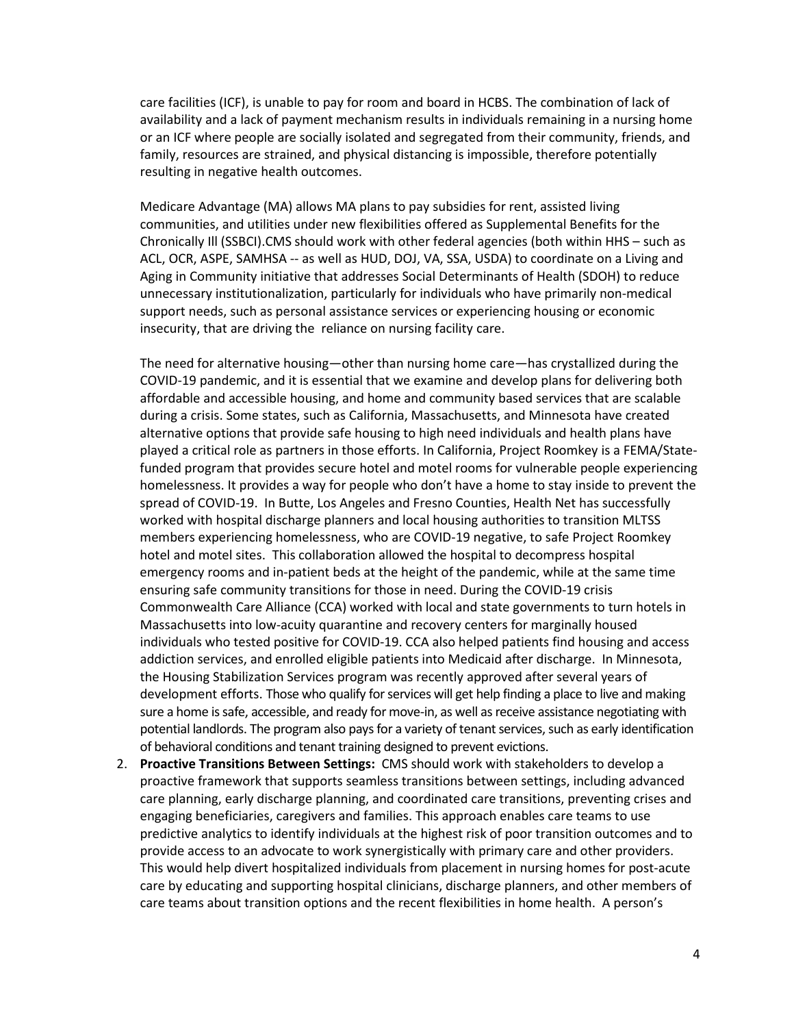care facilities (ICF), is unable to pay for room and board in HCBS. The combination of lack of availability and a lack of payment mechanism results in individuals remaining in a nursing home or an ICF where people are socially isolated and segregated from their community, friends, and family, resources are strained, and physical distancing is impossible, therefore potentially resulting in negative health outcomes.

Medicare Advantage (MA) allows MA plans to pay subsidies for rent, assisted living communities, and utilities under new flexibilities offered as Supplemental Benefits for the Chronically Ill (SSBCI).CMS should work with other federal agencies (both within HHS – such as ACL, OCR, ASPE, SAMHSA -- as well as HUD, DOJ, VA, SSA, USDA) to coordinate on a Living and Aging in Community initiative that addresses Social Determinants of Health (SDOH) to reduce unnecessary institutionalization, particularly for individuals who have primarily non-medical support needs, such as personal assistance services or experiencing housing or economic insecurity, that are driving the reliance on nursing facility care.

The need for alternative housing—other than nursing home care—has crystallized during the COVID-19 pandemic, and it is essential that we examine and develop plans for delivering both affordable and accessible housing, and home and community based services that are scalable during a crisis. Some states, such as California, Massachusetts, and Minnesota have created alternative options that provide safe housing to high need individuals and health plans have played a critical role as partners in those efforts. In California, Project Roomkey is a FEMA/Statefunded program that provides secure hotel and motel rooms for vulnerable people experiencing homelessness. It provides a way for people who don't have a home to stay inside to prevent the spread of COVID-19. In Butte, Los Angeles and Fresno Counties, Health Net has successfully worked with hospital discharge planners and local housing authorities to transition MLTSS members experiencing homelessness, who are COVID-19 negative, to safe Project Roomkey hotel and motel sites. This collaboration allowed the hospital to decompress hospital emergency rooms and in-patient beds at the height of the pandemic, while at the same time ensuring safe community transitions for those in need. During the COVID-19 crisis Commonwealth Care Alliance (CCA) worked with local and state governments to turn hotels in Massachusetts into low-acuity quarantine and recovery centers for marginally housed individuals who tested positive for COVID-19. CCA also helped patients find housing and access addiction services, and enrolled eligible patients into Medicaid after discharge. In Minnesota, the Housing Stabilization Services program was recently approved after several years of development efforts. Those who qualify for services will get help finding a place to live and making sure a home is safe, accessible, and ready for move-in, as well asreceive assistance negotiating with potential landlords. The program also pays for a variety of tenant services, such as early identification of behavioral conditions and tenant training designed to prevent evictions.

2. **Proactive Transitions Between Settings:** CMS should work with stakeholders to develop a proactive framework that supports seamless transitions between settings, including advanced care planning, early discharge planning, and coordinated care transitions, preventing crises and engaging beneficiaries, caregivers and families. This approach enables care teams to use predictive analytics to identify individuals at the highest risk of poor transition outcomes and to provide access to an advocate to work synergistically with primary care and other providers. This would help divert hospitalized individuals from placement in nursing homes for post-acute care by educating and supporting hospital clinicians, discharge planners, and other members of care teams about transition options and the recent flexibilities in home health. A person's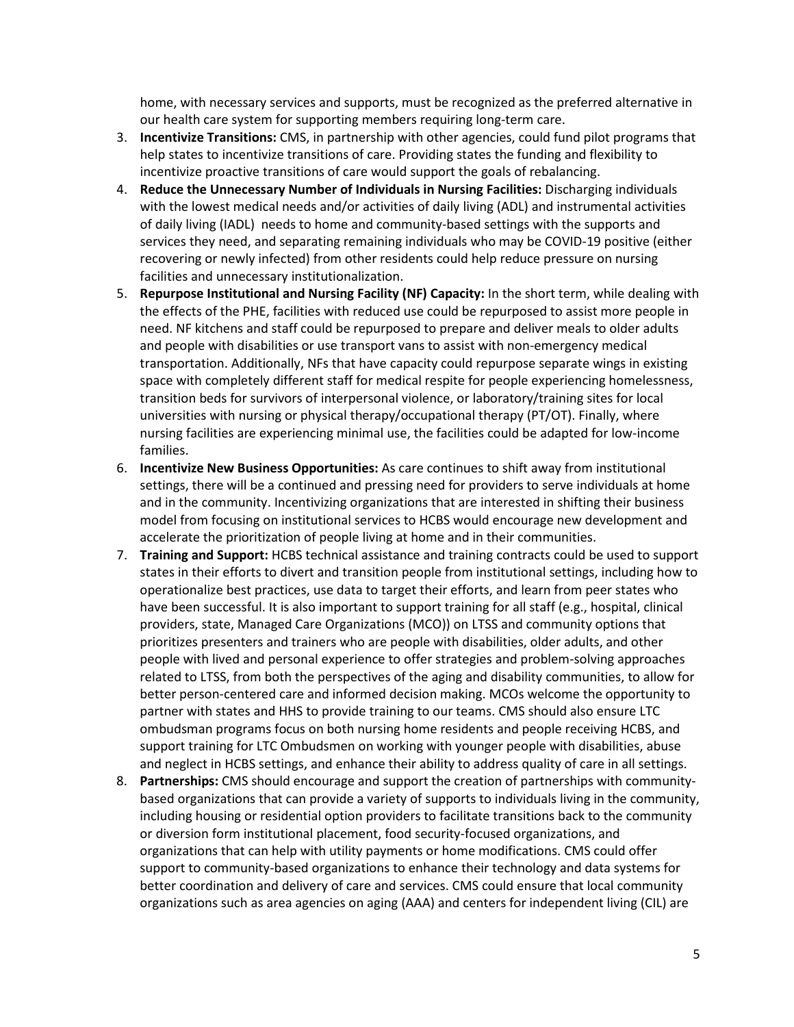home, with necessary services and supports, must be recognized as the preferred alternative in our health care system for supporting members requiring long-term care.

- 3. **Incentivize Transitions:** CMS, in partnership with other agencies, could fund pilot programs that help states to incentivize transitions of care. Providing states the funding and flexibility to incentivize proactive transitions of care would support the goals of rebalancing.
- 4. **Reduce the Unnecessary Number of Individuals in Nursing Facilities:** Discharging individuals with the lowest medical needs and/or activities of daily living (ADL) and instrumental activities of daily living (IADL) needs to home and community-based settings with the supports and services they need, and separating remaining individuals who may be COVID-19 positive (either recovering or newly infected) from other residents could help reduce pressure on nursing facilities and unnecessary institutionalization.
- 5. **Repurpose Institutional and Nursing Facility (NF) Capacity:** In the short term, while dealing with the effects of the PHE, facilities with reduced use could be repurposed to assist more people in need. NF kitchens and staff could be repurposed to prepare and deliver meals to older adults and people with disabilities or use transport vans to assist with non-emergency medical transportation. Additionally, NFs that have capacity could repurpose separate wings in existing space with completely different staff for medical respite for people experiencing homelessness, transition beds for survivors of interpersonal violence, or laboratory/training sites for local universities with nursing or physical therapy/occupational therapy (PT/OT). Finally, where nursing facilities are experiencing minimal use, the facilities could be adapted for low-income families.
- 6. **Incentivize New Business Opportunities:** As care continues to shift away from institutional settings, there will be a continued and pressing need for providers to serve individuals at home and in the community. Incentivizing organizations that are interested in shifting their business model from focusing on institutional services to HCBS would encourage new development and accelerate the prioritization of people living at home and in their communities.
- 7. **Training and Support:** HCBS technical assistance and training contracts could be used to support states in their efforts to divert and transition people from institutional settings, including how to operationalize best practices, use data to target their efforts, and learn from peer states who have been successful. It is also important to support training for all staff (e.g., hospital, clinical providers, state, Managed Care Organizations (MCO)) on LTSS and community options that prioritizes presenters and trainers who are people with disabilities, older adults, and other people with lived and personal experience to offer strategies and problem-solving approaches related to LTSS, from both the perspectives of the aging and disability communities, to allow for better person-centered care and informed decision making. MCOs welcome the opportunity to partner with states and HHS to provide training to our teams. CMS should also ensure LTC ombudsman programs focus on both nursing home residents and people receiving HCBS, and support training for LTC Ombudsmen on working with younger people with disabilities, abuse and neglect in HCBS settings, and enhance their ability to address quality of care in all settings.
- 8. **Partnerships:** CMS should encourage and support the creation of partnerships with communitybased organizations that can provide a variety of supports to individuals living in the community, including housing or residential option providers to facilitate transitions back to the community or diversion form institutional placement, food security-focused organizations, and organizations that can help with utility payments or home modifications. CMS could offer support to community-based organizations to enhance their technology and data systems for better coordination and delivery of care and services. CMS could ensure that local community organizations such as area agencies on aging (AAA) and centers for independent living (CIL) are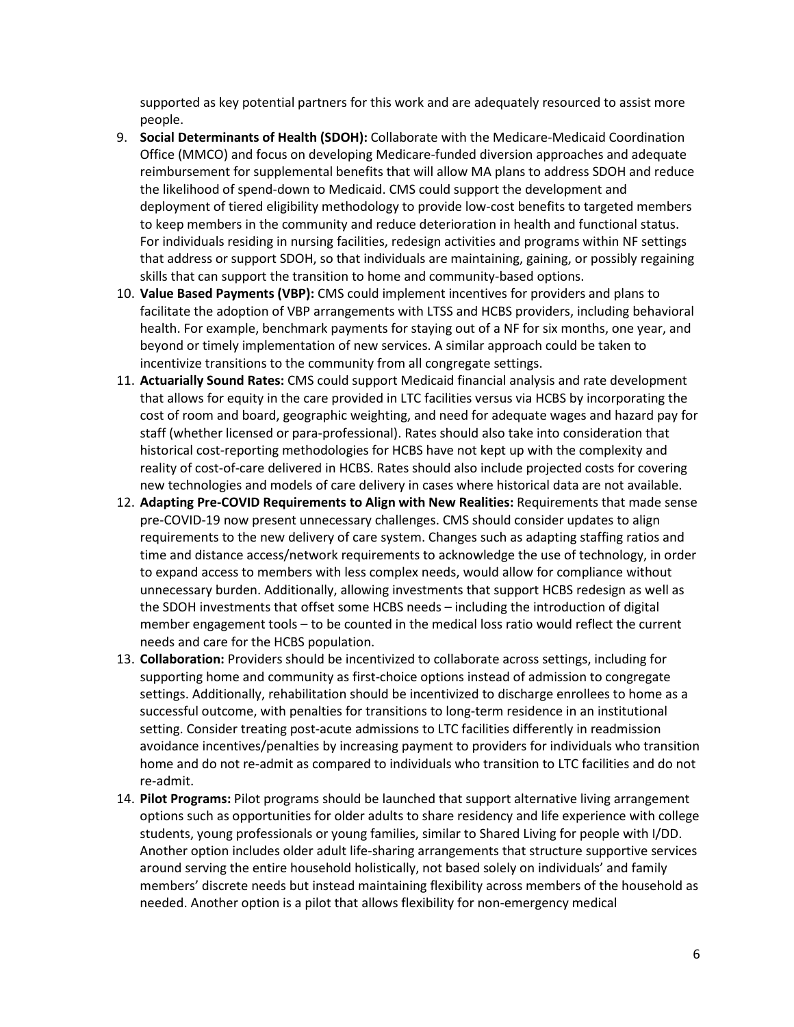supported as key potential partners for this work and are adequately resourced to assist more people.

- 9. **Social Determinants of Health (SDOH):** Collaborate with the Medicare-Medicaid Coordination Office (MMCO) and focus on developing Medicare-funded diversion approaches and adequate reimbursement for supplemental benefits that will allow MA plans to address SDOH and reduce the likelihood of spend-down to Medicaid. CMS could support the development and deployment of tiered eligibility methodology to provide low-cost benefits to targeted members to keep members in the community and reduce deterioration in health and functional status. For individuals residing in nursing facilities, redesign activities and programs within NF settings that address or support SDOH, so that individuals are maintaining, gaining, or possibly regaining skills that can support the transition to home and community-based options.
- 10. **Value Based Payments (VBP):** CMS could implement incentives for providers and plans to facilitate the adoption of VBP arrangements with LTSS and HCBS providers, including behavioral health. For example, benchmark payments for staying out of a NF for six months, one year, and beyond or timely implementation of new services. A similar approach could be taken to incentivize transitions to the community from all congregate settings.
- 11. **Actuarially Sound Rates:** CMS could support Medicaid financial analysis and rate development that allows for equity in the care provided in LTC facilities versus via HCBS by incorporating the cost of room and board, geographic weighting, and need for adequate wages and hazard pay for staff (whether licensed or para-professional). Rates should also take into consideration that historical cost-reporting methodologies for HCBS have not kept up with the complexity and reality of cost-of-care delivered in HCBS. Rates should also include projected costs for covering new technologies and models of care delivery in cases where historical data are not available.
- 12. **Adapting Pre-COVID Requirements to Align with New Realities:** Requirements that made sense pre-COVID-19 now present unnecessary challenges. CMS should consider updates to align requirements to the new delivery of care system. Changes such as adapting staffing ratios and time and distance access/network requirements to acknowledge the use of technology, in order to expand access to members with less complex needs, would allow for compliance without unnecessary burden. Additionally, allowing investments that support HCBS redesign as well as the SDOH investments that offset some HCBS needs – including the introduction of digital member engagement tools – to be counted in the medical loss ratio would reflect the current needs and care for the HCBS population.
- 13. **Collaboration:** Providers should be incentivized to collaborate across settings, including for supporting home and community as first-choice options instead of admission to congregate settings. Additionally, rehabilitation should be incentivized to discharge enrollees to home as a successful outcome, with penalties for transitions to long-term residence in an institutional setting. Consider treating post-acute admissions to LTC facilities differently in readmission avoidance incentives/penalties by increasing payment to providers for individuals who transition home and do not re-admit as compared to individuals who transition to LTC facilities and do not re-admit.
- 14. **Pilot Programs:** Pilot programs should be launched that support alternative living arrangement options such as opportunities for older adults to share residency and life experience with college students, young professionals or young families, similar to Shared Living for people with I/DD. Another option includes older adult life-sharing arrangements that structure supportive services around serving the entire household holistically, not based solely on individuals' and family members' discrete needs but instead maintaining flexibility across members of the household as needed. Another option is a pilot that allows flexibility for non-emergency medical